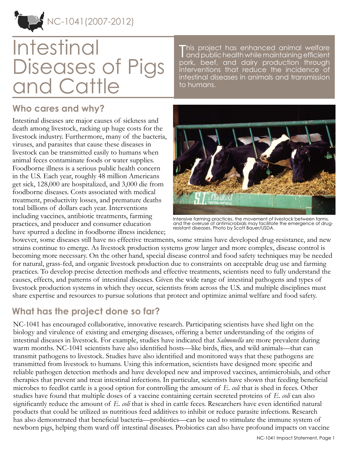NC-1041(2007-2012)

# Intestinal Diseases of Pigs and Cattle

T and public health while maintaining efficient his project has enhanced animal welfare pork, beef, and dairy production through interventions that reduce the incidence of intestinal diseases in animals and transmission to humans.

#### **Who cares and why?**

Intestinal diseases are major causes of sickness and death among livestock, racking up huge costs for the livestock industry. Furthermore, many of the bacteria, viruses, and parasites that cause these diseases in livestock can be transmitted easily to humans when animal feces contaminate foods or water supplies. Foodborne illness is a serious public health concern in the U.S. Each year, roughly 48 million Americans get sick, 128,000 are hospitalized, and 3,000 die from foodborne diseases. Costs associated with medical treatment, productivity losses, and premature deaths total billions of dollars each year. Interventions including vaccines, antibiotic treatments, farming practices, and producer and consumer education have spurred a decline in foodborne illness incidence;



Intensive farming practices, the movement of livestock between farms, and the overuse of antimicrobials may facilitate the emergence of drugresistant diseases. Photo by Scott Bauer/USDA.

however, some diseases still have no effective treatments, some strains have developed drug-resistance, and new strains continue to emerge. As livestock production systems grow larger and more complex, disease control is becoming more necessary. On the other hand, special disease control and food safety techniques may be needed for natural, grass-fed, and organic livestock production due to constraints on acceptable drug use and farming practices. To develop precise detection methods and effective treatments, scientists need to fully understand the causes, effects, and patterns of intestinal diseases. Given the wide range of intestinal pathogens and types of livestock production systems in which they occur, scientists from across the U.S. and multiple disciplines must share expertise and resources to pursue solutions that protect and optimize animal welfare and food safety.

## **What has the project done so far?**

NC-1041 has encouraged collaborative, innovative research. Participating scientists have shed light on the biology and virulence of existing and emerging diseases, offering a better understanding of the origins of intestinal diseases in livestock. For example, studies have indicated that *Salmonella* are more prevalent during warm months. NC-1041 scientists have also identified hosts—like birds, flies, and wild animals—that can transmit pathogens to livestock. Studies have also identified and monitored ways that these pathogens are transmitted from livestock to humans. Using this information, scientists have designed more specific and reliable pathogen detection methods and have developed new and improved vaccines, antimicrobials, and other therapies that prevent and treat intestinal infections. In particular, scientists have shown that feeding beneficial microbes to feedlot cattle is a good option for controlling the amount of *E. coli* that is shed in feces. Other studies have found that multiple doses of a vaccine containing certain secreted proteins of *E. coli* can also significantly reduce the amount of *E. coli* that is shed in cattle feces. Researchers have even identified natural products that could be utilized as nutritious feed additives to inhibit or reduce parasite infections. Research has also demonstrated that beneficial bacteria—probiotics—can be used to stimulate the immune system of newborn pigs, helping them ward off intestinal diseases. Probiotics can also have profound impacts on vaccine